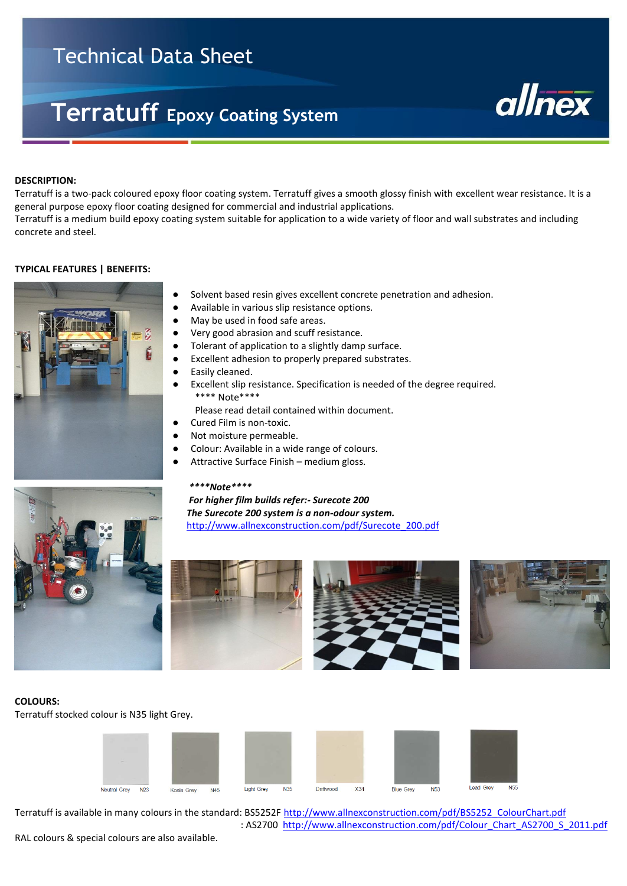# Technical Data Sheet

# **Terratuff Epoxy Coating System**



#### **DESCRIPTION:**

Ī

Terratuff is a two-pack coloured epoxy floor coating system. Terratuff gives a smooth glossy finish with excellent wear resistance. It is a general purpose epoxy floor coating designed for commercial and industrial applications. Terratuff is a medium build epoxy coating system suitable for application to a wide variety of floor and wall substrates and including concrete and steel.

#### **TYPICAL FEATURES | BENEFITS:**



- Solvent based resin gives excellent concrete penetration and adhesion.
- Available in various slip resistance options.
- May be used in food safe areas.
- **●** Very good abrasion and scuff resistance.
- **●** Tolerant of application to a slightly damp surface.
- **●** Excellent adhesion to properly prepared substrates.
- Easily cleaned.
- Excellent slip resistance. Specification is needed of the degree required. \*\*\*\* Note\*\*\*\*

Please read detail contained within document.

- Cured Film is non-toxic.
- Not moisture permeable.
- Colour: Available in a wide range of colours.
- Attractive Surface Finish medium gloss.

#### *\*\*\*\*Note\*\*\*\**

 *For higher film builds refer:- Surecote 200 The Surecote 200 system is a non-odour system.* [http://www.allnexconstruction.com/pdf/Surecote\\_200.pdf](http://www.allnexconstruction.com/pdf/Surecote_200.pdf)









# **COLOURS:**

Terratuff stocked colour is N35 light Grey.



Terratuff is available in many colours in the standard: BS5252F [http://www.allnexconstruction.com/pdf/BS5252\\_ColourChart.pdf](http://www.allnexconstruction.com/pdf/BS5252_ColourChart.pdf) : AS2700 [http://www.allnexconstruction.com/pdf/Colour\\_Chart\\_AS2700\\_S\\_2011.pdf](http://www.allnexconstruction.com/pdf/Colour_Chart_AS2700_S_2011.pdf)

RAL colours & special colours are also available.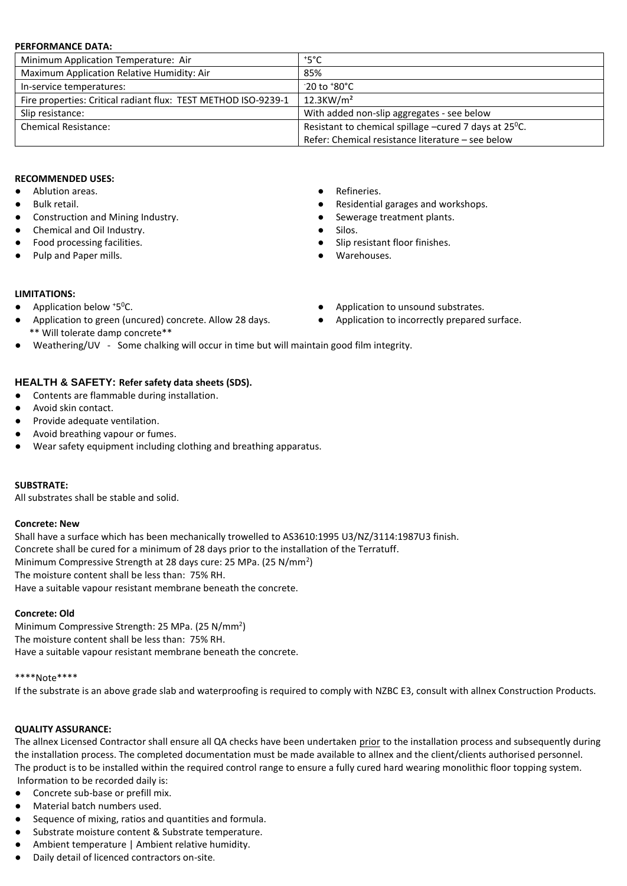#### **PERFORMANCE DATA:**

| Minimum Application Temperature: Air                           | $^{\circ}$ 5°C                                                     |
|----------------------------------------------------------------|--------------------------------------------------------------------|
| Maximum Application Relative Humidity: Air                     | 85%                                                                |
| In-service temperatures:                                       | $-20$ to $+80^{\circ}$ C                                           |
| Fire properties: Critical radiant flux: TEST METHOD ISO-9239-1 | $12.3$ KW/m <sup>2</sup>                                           |
| Slip resistance:                                               | With added non-slip aggregates - see below                         |
| <b>Chemical Resistance:</b>                                    | Resistant to chemical spillage -cured 7 days at 25 <sup>o</sup> C. |
|                                                                | Refer: Chemical resistance literature - see below                  |

## **RECOMMENDED USES:**

- Ablution areas. 
Refineries.
- 
- Construction and Mining Industry. <br>● Sewerage treatment plants.
- Chemical and Oil Industry. Silos.
- 
- Pulp and Paper mills. <br>● Warehouses.
- 
- Bulk retail. <br>● Residential garages and workshops.
	-
	-
	- Food processing facilities.  $\bullet$  Slip resistant floor finishes.
		-

#### **LIMITATIONS:**

- $\bullet$  Application below  $*5^{\circ}$ C.
- Application to green (uncured) concrete. Allow 28 days. <br>
Application to incorrectly prepared surface. \*\* Will tolerate damp concrete\*\*
- Weathering/UV Some chalking will occur in time but will maintain good film integrity.

# **HEALTH & SAFETY: Refer safety data sheets (SDS).**

- Contents are flammable during installation.
- Avoid skin contact.
- Provide adequate ventilation.
- Avoid breathing vapour or fumes.
- Wear safety equipment including clothing and breathing apparatus.

# **SUBSTRATE:**

All substrates shall be stable and solid.

# **Concrete: New**

Shall have a surface which has been mechanically trowelled to AS3610:1995 U3/NZ/3114:1987U3 finish. Concrete shall be cured for a minimum of 28 days prior to the installation of the Terratuff. Minimum Compressive Strength at 28 days cure: 25 MPa. (25 N/mm<sup>2</sup>) The moisture content shall be less than: 75% RH. Have a suitable vapour resistant membrane beneath the concrete.

# **Concrete: Old**

Minimum Compressive Strength: 25 MPa. (25 N/mm<sup>2</sup>) The moisture content shall be less than: 75% RH. Have a suitable vapour resistant membrane beneath the concrete.

#### \*\*\*\*Note\*\*\*\*

If the substrate is an above grade slab and waterproofing is required to comply with NZBC E3, consult with allnex Construction Products.

# **QUALITY ASSURANCE:**

The allnex Licensed Contractor shall ensure all QA checks have been undertaken prior to the installation process and subsequently during the installation process. The completed documentation must be made available to allnex and the client/clients authorised personnel. The product is to be installed within the required control range to ensure a fully cured hard wearing monolithic floor topping system. Information to be recorded daily is:

- Concrete sub-base or prefill mix.
- Material batch numbers used.
- Sequence of mixing, ratios and quantities and formula.
- Substrate moisture content & Substrate temperature.
- Ambient temperature | Ambient relative humidity.
- Daily detail of licenced contractors on-site.
- Application to unsound substrates.
-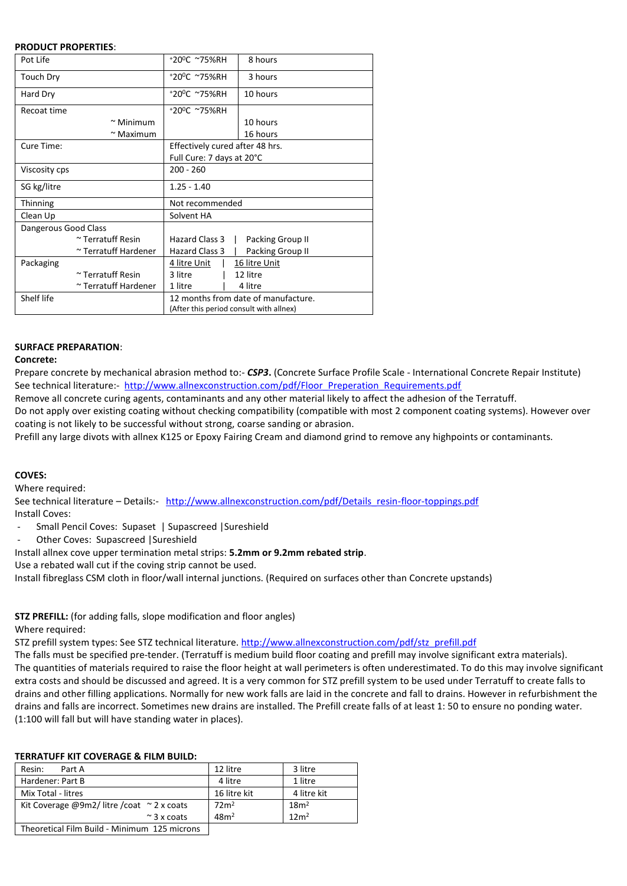#### **PRODUCT PROPERTIES**:

| Pot Life             |                        | +20°C ~75%RH                            | 8 hours          |  |  |
|----------------------|------------------------|-----------------------------------------|------------------|--|--|
| Touch Dry            |                        | +20°C ~75%RH                            | 3 hours          |  |  |
| Hard Dry             |                        | +20°C ~75%RH                            | 10 hours         |  |  |
| Recoat time          |                        | +20°C ~75%RH                            |                  |  |  |
|                      | $\sim$ Minimum         |                                         | 10 hours         |  |  |
|                      | $\sim$ Maximum         |                                         | 16 hours         |  |  |
| Cure Time:           |                        | Effectively cured after 48 hrs.         |                  |  |  |
|                      |                        | Full Cure: 7 days at 20°C               |                  |  |  |
| Viscosity cps        |                        | $200 - 260$                             |                  |  |  |
| SG kg/litre          |                        | $1.25 - 1.40$                           |                  |  |  |
| Thinning             |                        | Not recommended                         |                  |  |  |
| Clean Up             |                        | Solvent HA                              |                  |  |  |
| Dangerous Good Class |                        |                                         |                  |  |  |
|                      | ~ Terratuff Resin      | Hazard Class 3                          | Packing Group II |  |  |
|                      | ~ Terratuff Hardener   | Hazard Class 3                          | Packing Group II |  |  |
| Packaging            |                        | 4 litre Unit                            | 16 litre Unit    |  |  |
|                      | $\sim$ Terratuff Resin | 3 litre                                 | 12 litre         |  |  |
|                      | ~ Terratuff Hardener   | 1 litre                                 | 4 litre          |  |  |
| Shelf life           |                        | 12 months from date of manufacture.     |                  |  |  |
|                      |                        | (After this period consult with allnex) |                  |  |  |

# **SURFACE PREPARATION**:

# **Concrete:**

Prepare concrete by mechanical abrasion method to:- *CSP3***.** (Concrete Surface Profile Scale - International Concrete Repair Institute) See technical literature:- [http://www.allnexconstruction.com/pdf/Floor\\_Preperation\\_Requirements.pdf](http://www.allnexconstruction.com/pdf/Floor_Preperation_Requirements.pdf)

Remove all concrete curing agents, contaminants and any other material likely to affect the adhesion of the Terratuff.

Do not apply over existing coating without checking compatibility (compatible with most 2 component coating systems). However over coating is not likely to be successful without strong, coarse sanding or abrasion.

Prefill any large divots with allnex K125 or Epoxy Fairing Cream and diamond grind to remove any highpoints or contaminants.

# **COVES:**

Where required:

See technical literature – Details:- [http://www.allnexconstruction.com/pdf/Details\\_resin-floor-toppings.pdf](http://www.allnexconstruction.com/pdf/Details_resin-floor-toppings.pdf) Install Coves:

- Small Pencil Coves: Supaset | Supascreed |Sureshield
- Other Coves: Supascreed | Sureshield

Install allnex cove upper termination metal strips: **5.2mm or 9.2mm rebated strip**.

Use a rebated wall cut if the coving strip cannot be used.

Install fibreglass CSM cloth in floor/wall internal junctions. (Required on surfaces other than Concrete upstands)

**STZ PREFILL:** (for adding falls, slope modification and floor angles) Where required:

STZ prefill system types: See STZ technical literature[. http://www.allnexconstruction.com/pdf/stz\\_prefill.pdf](http://www.allnexconstruction.com/pdf/stz_prefill.pdf)

The falls must be specified pre-tender. (Terratuff is medium build floor coating and prefill may involve significant extra materials). The quantities of materials required to raise the floor height at wall perimeters is often underestimated. To do this may involve significant extra costs and should be discussed and agreed. It is a very common for STZ prefill system to be used under Terratuff to create falls to drains and other filling applications. Normally for new work falls are laid in the concrete and fall to drains. However in refurbishment the drains and falls are incorrect. Sometimes new drains are installed. The Prefill create falls of at least 1: 50 to ensure no ponding water. (1:100 will fall but will have standing water in places).

# **TERRATUFF KIT COVERAGE & FILM BUILD:**

| Resin:<br>Part A                                   | 12 litre         | 3 litre          |
|----------------------------------------------------|------------------|------------------|
| Hardener: Part B                                   | 4 litre          | 1 litre          |
| Mix Total - litres                                 | 16 litre kit     | 4 litre kit      |
| Kit Coverage @9m2/litre/coat $\sim$ 2 x coats      | 72 <sup>2</sup>  | 18 <sup>m²</sup> |
| $\approx$ 3 x coats                                | 48m <sup>2</sup> | 12m <sup>2</sup> |
| The senative Line Duild - Minimagne - 10E mainways |                  |                  |

 $\mid$  Theoretical Film Build - Minimum  $125$  microns  $\mid$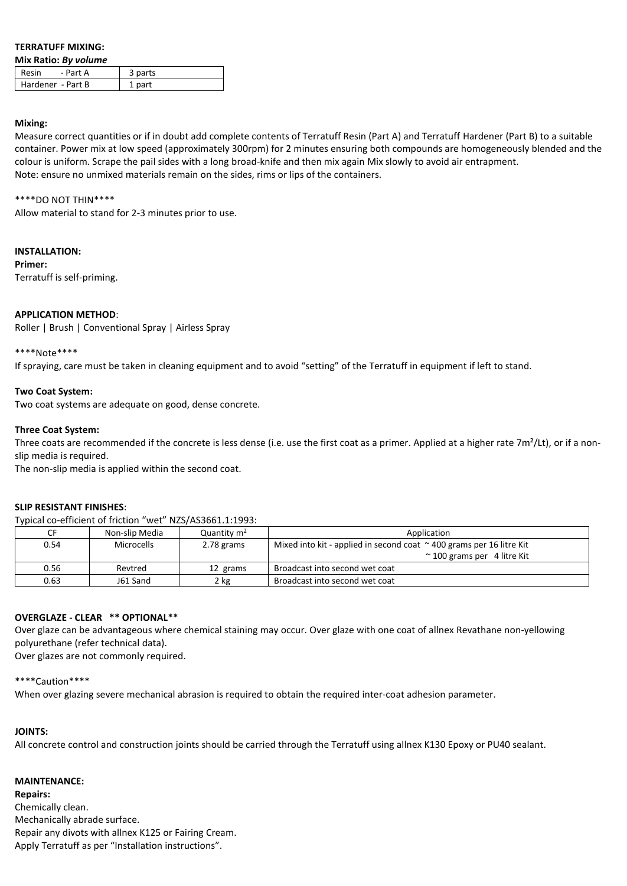# **TERRATUFF MIXING:**

**Mix Ratio:** *By volume*

| Resin<br>- Part A | 3 parts |
|-------------------|---------|
| Hardener - Part B | 1 part  |

#### **Mixing:**

Measure correct quantities or if in doubt add complete contents of Terratuff Resin (Part A) and Terratuff Hardener (Part B) to a suitable container. Power mix at low speed (approximately 300rpm) for 2 minutes ensuring both compounds are homogeneously blended and the colour is uniform. Scrape the pail sides with a long broad-knife and then mix again Mix slowly to avoid air entrapment. Note: ensure no unmixed materials remain on the sides, rims or lips of the containers.

### \*\*\*\*DO NOT THIN\*\*\*\*

Allow material to stand for 2-3 minutes prior to use.

# **INSTALLATION:**

**Primer:** Terratuff is self-priming.

# **APPLICATION METHOD**:

Roller | Brush | Conventional Spray | Airless Spray

# \*\*\*\*Note\*\*\*\*

If spraying, care must be taken in cleaning equipment and to avoid "setting" of the Terratuff in equipment if left to stand.

# **Two Coat System:**

Two coat systems are adequate on good, dense concrete.

# **Three Coat System:**

Three coats are recommended if the concrete is less dense (i.e. use the first coat as a primer. Applied at a higher rate  $7m^2/Lt$ ), or if a nonslip media is required.

The non-slip media is applied within the second coat.

# **SLIP RESISTANT FINISHES**:

Typical co-efficient of friction "wet" NZS/AS3661.1:1993:

|      | Non-slip Media | Quantity $m2$ | Application                                                                  |
|------|----------------|---------------|------------------------------------------------------------------------------|
| 0.54 | Microcells     | 2.78 grams    | Mixed into kit - applied in second coat $\approx$ 400 grams per 16 litre Kit |
|      |                |               | $\approx$ 100 grams per 4 litre Kit                                          |
| 0.56 | Revtred        | 12 grams      | Broadcast into second wet coat                                               |
| 0.63 | J61 Sand       | 2 kg          | Broadcast into second wet coat                                               |

# **OVERGLAZE - CLEAR \*\* OPTIONAL**\*\*

Over glaze can be advantageous where chemical staining may occur. Over glaze with one coat of allnex Revathane non-yellowing polyurethane (refer technical data).

Over glazes are not commonly required.

# \*\*\*\*Caution\*\*\*\*

When over glazing severe mechanical abrasion is required to obtain the required inter-coat adhesion parameter.

# **JOINTS:**

All concrete control and construction joints should be carried through the Terratuff using allnex K130 Epoxy or PU40 sealant.

# **MAINTENANCE:**

**Repairs:** Chemically clean. Mechanically abrade surface. Repair any divots with allnex K125 or Fairing Cream. Apply Terratuff as per "Installation instructions".